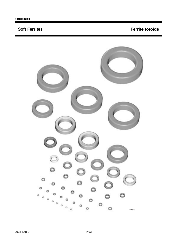# **Soft Ferrites**

# **Ferrite toroids**

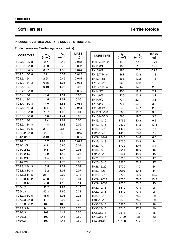## **Soft Ferrites <b>Ferrite** Soft Ferrite toroids

### **PRODUCT OVERVIEW AND TYPE NUMBER STRUCTURE**

| <b>CORE TYPE</b> | $V_e$<br>(mm <sup>3</sup> ) | $A_{e}$<br>$(m\tilde{m}^2)$ | <b>MASS</b><br>(g) | <b>CORE TYPE</b> | $V_e$<br>(mm <sup>3</sup> ) | $A_e$ <sub>(mm<sup>2</sup>)</sub> | <b>MASS</b><br>(g) |
|------------------|-----------------------------|-----------------------------|--------------------|------------------|-----------------------------|-----------------------------------|--------------------|
| TC2.5/1.3/0.8    | 2.7                         | 0.49                        | 0.012              | TC9.5/4.8/3.2    | 148                         | 7.16                              | 0.70               |
| TC2.5/1.3/1.3    | 4.29                        | 0.76                        | 0.022              | TN10/6/4         | 188                         | 7.8                               | 0.95               |
| TC2.5/1.3/2.5    | 8.57                        | 1.55                        | 0.044              | TX10/6/4         | 188                         | 7.8                               | 0.95               |
| TC2.5/1.5/0.8    | 2.21                        | 0.37                        | 0.012              | TX13/7.1/4.8     | 361                         | 12.3                              | 1.8                |
| TC2.5/1.5/1      | 2.94                        | 0.49                        | 0.015              | TN13/7.5/5       | 368                         | 12.2                              | 1.8                |
| TC3.1/1.3/1.3    | 6.35                        | 1.06                        | 0.033              | TX13/7.5/5       | 368                         | 12.2                              | 1.8                |
| TC3.1/1.8/2      | 9.10                        | 1.26                        | 0.05               | TX13/7.9/6.4     | 442                         | 14.1                              | 2.2                |
| TC3.4/1.8/1.3    | 7.3                         | 0.96                        | 0.035              | TN14/9/5         | 430                         | 12.3                              | 2.1                |
| TC3.4/1.8/2      | 11.6                        | 1.54                        | 0.06               | TX14/9/5         | 430                         | 12.3                              | 2.1                |
| TC3.4/1.8/2.1    | 11.5                        | 1.52                        | 0.06               | TN14/9/9         | 774                         | 22.1                              | 3.8                |
| TC3.4/1.8/2.3    | 14.0                        | 1.83                        | 0.068              | TX14/9/9         | 774                         | 22.1                              | 3.8                |
| TC3.5/1.6/1.3    | 8.3                         | 1.15                        | 0.043              | TX16/9.1/4.7     | 548                         | 14.7                              | 2.7                |
| TC3.5/1.8/1.3    | 7.87                        | 1.03                        | 0.04               | TN16/9.6/6.3     | 760                         | 19.7                              | 3.8                |
| TC3.5/1.8/1.8    | 11.0                        | 1.44                        | 0.06               | TX16/9.6/6.3     | 760                         | 19.7                              | 3.8                |
| TC3.5/1.8/2      | 12.4                        | 1.62                        | 0.05               | TN19/11/10       | 1795                        | 40.8                              | 9.2                |
| TC3.9/1.8/1.8    | 14.8                        | 1.83                        | 0.09               | TN19/11/15       | 2692                        | 61.2                              | 13.8               |
| TC3.9/1.8/2.5    | 21.1                        | 2.6                         | 0.12               | TN20/10/7        | 1465                        | 33.6                              | 7.7                |
| TC3.9/2.2/1.3    | 9.2                         | 1.0                         | 0.045              | TX20/10/7        | 1465                        | 33.6                              | 7.7                |
| TC4/1.8/0.8      | 6.43                        | 0.79                        | 0.035              | TX22/14/6.4      | 1340                        | 24.8                              | 6.5                |
| TC4/2/2          | 16.7                        | 1.92                        | 0.095              | TX22/14/13       | 2750                        | 50.9                              | 14                 |
| TC4/2.2/1.1      | 8.8                         | 0.96                        | 0.04               | TN23/14/7        | 1722                        | 30.9                              | 8.4                |
| TC4/2.2/1.3      | 9.8                         | 1.07                        | 0.05               | TN25/15/10       | 2944                        | 48.9                              | 15                 |
| TC4/2.2/1.6      | 12.9                        | 1.40                        | 0.06               | TX25/15/10       | 2944                        | 48.9                              | 15                 |
| TC4/2.2/1.8      | 14.4                        | 1.56                        | 0.07               | TN26/15/10       | 3360                        | 55.9                              | 17                 |
| TC4/2.2/2        | 16.1                        | 1.75                        | 0.08               | TX26/15/10       | 3360                        | 55.9                              | 17                 |
| TC4.8/2.3/1.3    | 15.5                        | 1.52                        | 0.09               | TN26/15/20       | 6720                        | 112                               | 34                 |
| TC5.8/3.1/0.8    | 13.2                        | 1.01                        | 0.07               | TN29/11/6        | 2680                        | 50.8                              | 14                 |
| TC5.8/3.1/1.5    | 26.1                        | 2.00                        | 0.13               | TN29/19/7.5      | 2700                        | 36.9                              | 13.5               |
| TC5.8/3.1/3.2    | 55.8                        | 4.28                        | 0.31               | TX29/19/7.5      | 2700                        | 36.9                              | 13.5               |
| TC5.9/3.1/3.1    | 53.8                        | 4.12                        | 0.14               | TX29/19/7.6      | 2600                        | 35.5                              | 13                 |
| TC6/4/2          | 30.2                        | 1.97                        | 0.15               | TN29/19/15       | 5410                        | 73.9                              | 28                 |
| TC6/4/3          | 45.2                        | 2.96                        | 0.23               | TX29/19/15       | 5410                        | 73.9                              | 28                 |
| TC6.3/3.8/2.5    | 46.5                        | 3.06                        | 0.23               | TN32/19/13       | 5820                        | 76.5                              | 29                 |
| TC7.6/3.2/4.8    | 148                         | 9.92                        | 0.70               | TX32/19/13       | 5820                        | 76.5                              | 29                 |
| TC7.6/3.2/5.2    | 160                         | 10.6                        | 0.75               | TX36/23/10       | 5820                        | 64.9                              | 28                 |
| TC8.2/3.7/4      | 144                         | 8.50                        | 0.70               | TX36/23/15       | 8740                        | 97.5                              | 40                 |
| TC9/6/3          | 102                         | 4.44                        | 0.50               | TX39/20/13       | 9513                        | 112                               | 45                 |
| TN9/6/3          | 102                         | 4.44                        | 0.50               | TX40/24/16       | 12100                       | 125                               | 62                 |
| TX9/6/3          | 102                         | 4.44                        | 0.50               | TX40/24/20       | 15100                       | 157                               | 77                 |